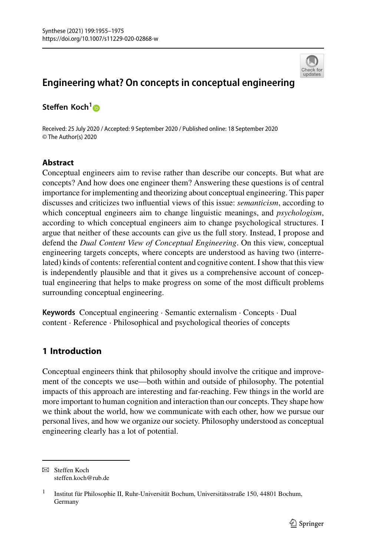

# **Engineering what? On concepts in conceptual engineering**

**Steffen Koch[1](http://orcid.org/0000-0002-9360-799X)**

Received: 25 July 2020 / Accepted: 9 September 2020 / Published online: 18 September 2020 © The Author(s) 2020

# **Abstract**

Conceptual engineers aim to revise rather than describe our concepts. But what are concepts? And how does one engineer them? Answering these questions is of central importance for implementing and theorizing about conceptual engineering. This paper discusses and criticizes two influential views of this issue: *semanticism*, according to which conceptual engineers aim to change linguistic meanings, and *psychologism*, according to which conceptual engineers aim to change psychological structures. I argue that neither of these accounts can give us the full story. Instead, I propose and defend the *Dual Content View of Conceptual Engineering*. On this view, conceptual engineering targets concepts, where concepts are understood as having two (interrelated) kinds of contents: referential content and cognitive content. I show that this view is independently plausible and that it gives us a comprehensive account of conceptual engineering that helps to make progress on some of the most difficult problems surrounding conceptual engineering.

**Keywords** Conceptual engineering · Semantic externalism · Concepts · Dual content · Reference · Philosophical and psychological theories of concepts

# **1 Introduction**

Conceptual engineers think that philosophy should involve the critique and improvement of the concepts we use—both within and outside of philosophy. The potential impacts of this approach are interesting and far-reaching. Few things in the world are more important to human cognition and interaction than our concepts. They shape how we think about the world, how we communicate with each other, how we pursue our personal lives, and how we organize our society. Philosophy understood as conceptual engineering clearly has a lot of potential.

B Steffen Koch steffen.koch@rub.de

<sup>&</sup>lt;sup>1</sup> Institut für Philosophie II, Ruhr-Universität Bochum, Universitätsstraße 150, 44801 Bochum, Germany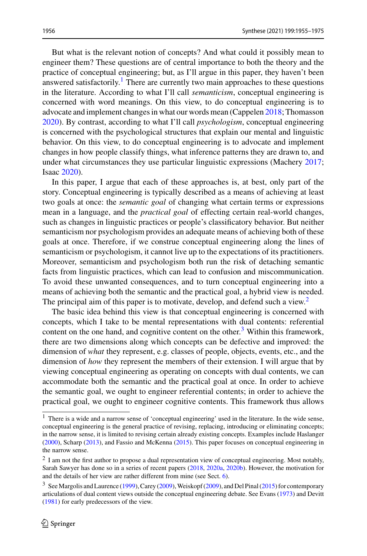But what is the relevant notion of concepts? And what could it possibly mean to engineer them? These questions are of central importance to both the theory and the practice of conceptual engineering; but, as I'll argue in this paper, they haven't been answered satisfactorily.<sup>1</sup> There are currently two main approaches to these questions in the literature. According to what I'll call *semanticism*, conceptual engineering is concerned with word meanings. On this view, to do conceptual engineering is to advocate and implement changes in what our words mean (Cappelen [2018;](#page-18-0) Thomasson [2020\)](#page-20-0). By contrast, according to what I'll call *psychologism*, conceptual engineering is concerned with the psychological structures that explain our mental and linguistic behavior. On this view, to do conceptual engineering is to advocate and implement changes in how people classify things, what inference patterns they are drawn to, and under what circumstances they use particular linguistic expressions (Machery [2017;](#page-19-0) Isaac [2020\)](#page-19-1).

In this paper, I argue that each of these approaches is, at best, only part of the story. Conceptual engineering is typically described as a means of achieving at least two goals at once: the *semantic goal* of changing what certain terms or expressions mean in a language, and the *practical goal* of effecting certain real-world changes, such as changes in linguistic practices or people's classificatory behavior. But neither semanticism nor psychologism provides an adequate means of achieving both of these goals at once. Therefore, if we construe conceptual engineering along the lines of semanticism or psychologism, it cannot live up to the expectations of its practitioners. Moreover, semanticism and psychologism both run the risk of detaching semantic facts from linguistic practices, which can lead to confusion and miscommunication. To avoid these unwanted consequences, and to turn conceptual engineering into a means of achieving both the semantic and the practical goal, a hybrid view is needed. The principal aim of this paper is to motivate, develop, and defend such a view.<sup>[2](#page-1-1)</sup>

The basic idea behind this view is that conceptual engineering is concerned with concepts, which I take to be mental representations with dual contents: referential content on the one hand, and cognitive content on the other.<sup>[3](#page-1-2)</sup> Within this framework, there are two dimensions along which concepts can be defective and improved: the dimension of *what* they represent, e.g. classes of people, objects, events, etc., and the dimension of *how* they represent the members of their extension. I will argue that by viewing conceptual engineering as operating on concepts with dual contents, we can accommodate both the semantic and the practical goal at once. In order to achieve the semantic goal, we ought to engineer referential contents; in order to achieve the practical goal, we ought to engineer cognitive contents. This framework thus allows

<span id="page-1-0"></span><sup>&</sup>lt;sup>1</sup> There is a wide and a narrow sense of 'conceptual engineering' used in the literature. In the wide sense, conceptual engineering is the general practice of revising, replacing, introducing or eliminating concepts; in the narrow sense, it is limited to revising certain already existing concepts. Examples include Haslanger [\(2000\)](#page-19-2), Scharp [\(2013\)](#page-20-1), and Fassio and McKenna [\(2015\)](#page-19-3). This paper focuses on conceptual engineering in the narrow sense.

<span id="page-1-1"></span> $2\,$  I am not the first author to propose a dual representation view of conceptual engineering. Most notably, Sarah Sawyer has done so in a series of recent papers [\(2018,](#page-19-4) [2020a,](#page-20-2) [2020b\)](#page-20-3). However, the motivation for and the details of her view are rather different from mine (see Sect. [6\)](#page-15-0).

<span id="page-1-2"></span><sup>&</sup>lt;sup>3</sup> See Margolis and Laurence [\(1999\)](#page-19-5), Carey [\(2009\)](#page-20-4), Weiskopf (2009), and Del Pinal [\(2015\)](#page-18-2) for contemporary articulations of dual content views outside the conceptual engineering debate. See Evans [\(1973\)](#page-19-6) and Devitt [\(1981\)](#page-18-3) for early predecessors of the view.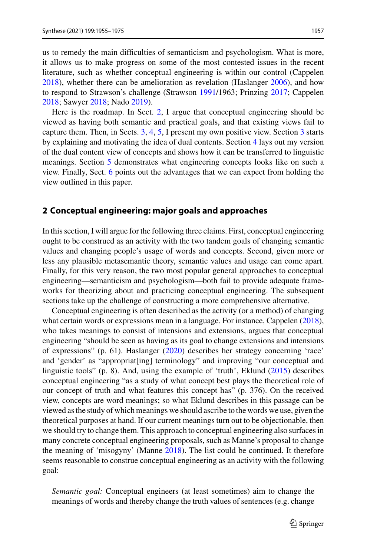us to remedy the main difficulties of semanticism and psychologism. What is more, it allows us to make progress on some of the most contested issues in the recent literature, such as whether conceptual engineering is within our control (Cappelen [2018\)](#page-18-0), whether there can be amelioration as revelation (Haslanger [2006\)](#page-19-7), and how

to respond to Strawson's challenge (Strawson [1991/](#page-20-5)1963; Prinzing [2017;](#page-19-8) Cappelen [2018;](#page-18-0) Sawyer [2018;](#page-19-4) Nado [2019\)](#page-19-9).

Here is the roadmap. In Sect. [2,](#page-2-0) I argue that conceptual engineering should be viewed as having both semantic and practical goals, and that existing views fail to capture them. Then, in Sects. [3,](#page-7-0) [4,](#page-10-0) [5,](#page-13-0) I present my own positive view. Section [3](#page-7-0) starts by explaining and motivating the idea of dual contents. Section [4](#page-10-0) lays out my version of the dual content view of concepts and shows how it can be transferred to linguistic meanings. Section [5](#page-13-0) demonstrates what engineering concepts looks like on such a view. Finally, Sect. [6](#page-15-0) points out the advantages that we can expect from holding the view outlined in this paper.

#### <span id="page-2-0"></span>**2 Conceptual engineering: major goals and approaches**

In this section, I will argue for the following three claims. First, conceptual engineering ought to be construed as an activity with the two tandem goals of changing semantic values and changing people's usage of words and concepts. Second, given more or less any plausible metasemantic theory, semantic values and usage can come apart. Finally, for this very reason, the two most popular general approaches to conceptual engineering—semanticism and psychologism—both fail to provide adequate frameworks for theorizing about and practicing conceptual engineering. The subsequent sections take up the challenge of constructing a more comprehensive alternative.

Conceptual engineering is often described as the activity (or a method) of changing what certain words or expressions mean in a language. For instance, Cappelen [\(2018\)](#page-18-0), who takes meanings to consist of intensions and extensions, argues that conceptual engineering "should be seen as having as its goal to change extensions and intensions of expressions" (p. 61). Haslanger [\(2020\)](#page-19-10) describes her strategy concerning 'race' and 'gender' as "appropriat[ing] terminology" and improving "our conceptual and linguistic tools" (p. 8). And, using the example of 'truth', Eklund [\(2015\)](#page-19-11) describes conceptual engineering "as a study of what concept best plays the theoretical role of our concept of truth and what features this concept has" (p. 376). On the received view, concepts are word meanings; so what Eklund describes in this passage can be viewed as the study of which meanings we should ascribe to the words we use, given the theoretical purposes at hand. If our current meanings turn out to be objectionable, then we should try to change them. This approach to conceptual engineering also surfaces in many concrete conceptual engineering proposals, such as Manne's proposal to change the meaning of 'misogyny' (Manne [2018\)](#page-19-12). The list could be continued. It therefore seems reasonable to construe conceptual engineering as an activity with the following goal:

*Semantic goal:* Conceptual engineers (at least sometimes) aim to change the meanings of words and thereby change the truth values of sentences (e.g. change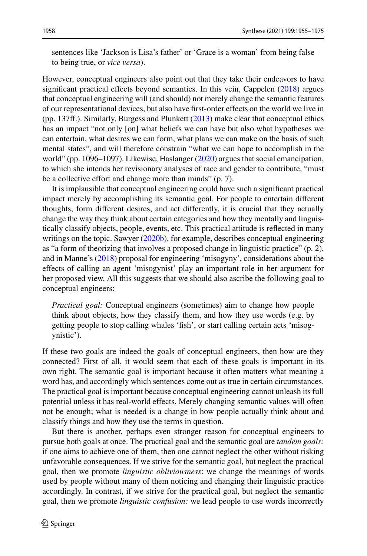sentences like 'Jackson is Lisa's father' or 'Grace is a woman' from being false to being true, or *vice versa*).

However, conceptual engineers also point out that they take their endeavors to have significant practical effects beyond semantics. In this vein, Cappelen [\(2018\)](#page-18-0) argues that conceptual engineering will (and should) not merely change the semantic features of our representational devices, but also have first-order effects on the world we live in (pp. 137ff.). Similarly, Burgess and Plunkett [\(2013\)](#page-18-4) make clear that conceptual ethics has an impact "not only [on] what beliefs we can have but also what hypotheses we can entertain, what desires we can form, what plans we can make on the basis of such mental states", and will therefore constrain "what we can hope to accomplish in the world" (pp. 1096–1097). Likewise, Haslanger [\(2020\)](#page-19-10) argues that social emancipation, to which she intends her revisionary analyses of race and gender to contribute, "must be a collective effort and change more than minds" (p. 7).

It is implausible that conceptual engineering could have such a significant practical impact merely by accomplishing its semantic goal. For people to entertain different thoughts, form different desires, and act differently, it is crucial that they actually change the way they think about certain categories and how they mentally and linguistically classify objects, people, events, etc. This practical attitude is reflected in many writings on the topic. Sawyer [\(2020b\)](#page-20-3), for example, describes conceptual engineering as "a form of theorizing that involves a proposed change in linguistic practice" (p. 2), and in Manne's [\(2018\)](#page-19-12) proposal for engineering 'misogyny', considerations about the effects of calling an agent 'misogynist' play an important role in her argument for her proposed view. All this suggests that we should also ascribe the following goal to conceptual engineers:

*Practical goal:* Conceptual engineers (sometimes) aim to change how people think about objects, how they classify them, and how they use words (e.g. by getting people to stop calling whales 'fish', or start calling certain acts 'misogynistic').

If these two goals are indeed the goals of conceptual engineers, then how are they connected? First of all, it would seem that each of these goals is important in its own right. The semantic goal is important because it often matters what meaning a word has, and accordingly which sentences come out as true in certain circumstances. The practical goal is important because conceptual engineering cannot unleash its full potential unless it has real-world effects. Merely changing semantic values will often not be enough; what is needed is a change in how people actually think about and classify things and how they use the terms in question.

But there is another, perhaps even stronger reason for conceptual engineers to pursue both goals at once. The practical goal and the semantic goal are *tandem goals:* if one aims to achieve one of them, then one cannot neglect the other without risking unfavorable consequences. If we strive for the semantic goal, but neglect the practical goal, then we promote *linguistic obliviousness*: we change the meanings of words used by people without many of them noticing and changing their linguistic practice accordingly. In contrast, if we strive for the practical goal, but neglect the semantic goal, then we promote *linguistic confusion:* we lead people to use words incorrectly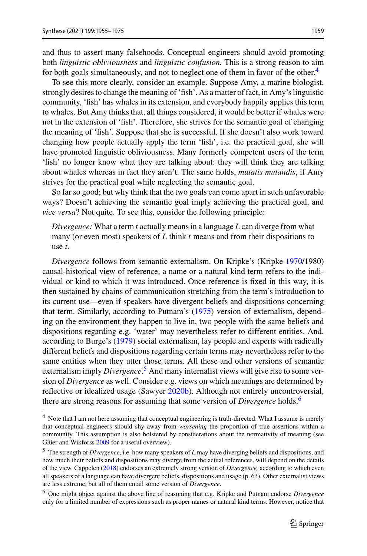and thus to assert many falsehoods. Conceptual engineers should avoid promoting both *linguistic obliviousness* and *linguistic confusion.* This is a strong reason to aim for both goals simultaneously, and not to neglect one of them in favor of the other.<sup>4</sup>

To see this more clearly, consider an example. Suppose Amy, a marine biologist, strongly desires to change the meaning of 'fish'. As a matter of fact, in Amy's linguistic community, 'fish' has whales in its extension, and everybody happily applies this term to whales. But Amy thinks that, all things considered, it would be better if whales were not in the extension of 'fish'. Therefore, she strives for the semantic goal of changing the meaning of 'fish'. Suppose that she is successful. If she doesn't also work toward changing how people actually apply the term 'fish', i.e. the practical goal, she will have promoted linguistic obliviousness. Many formerly competent users of the term 'fish' no longer know what they are talking about: they will think they are talking about whales whereas in fact they aren't. The same holds, *mutatis mutandis*, if Amy strives for the practical goal while neglecting the semantic goal.

So far so good; but why think that the two goals can come apart in such unfavorable ways? Doesn't achieving the semantic goal imply achieving the practical goal, and *vice versa*? Not quite. To see this, consider the following principle:

*Divergence:* What a term *t* actually means in a language *L* can diverge from what many (or even most) speakers of *L* think *t* means and from their dispositions to use *t*.

*Divergence* follows from semantic externalism. On Kripke's (Kripke [1970/](#page-19-13)1980) causal-historical view of reference, a name or a natural kind term refers to the individual or kind to which it was introduced. Once reference is fixed in this way, it is then sustained by chains of communication stretching from the term's introduction to its current use—even if speakers have divergent beliefs and dispositions concerning that term. Similarly, according to Putnam's [\(1975\)](#page-19-14) version of externalism, depending on the environment they happen to live in, two people with the same beliefs and dispositions regarding e.g. 'water' may nevertheless refer to different entities. And, according to Burge's [\(1979\)](#page-18-5) social externalism, lay people and experts with radically different beliefs and dispositions regarding certain terms may nevertheless refer to the same entities when they utter those terms. All these and other versions of semantic externalism imply *Divergence*. [5](#page-4-1) And many internalist views will give rise to some version of *Divergence* as well. Consider e.g. views on which meanings are determined by reflective or idealized usage (Sawyer [2020b\)](#page-20-3). Although not entirely uncontroversial, there are strong reasons for assuming that some version of *Divergence* holds.<sup>6</sup>

<span id="page-4-0"></span><sup>&</sup>lt;sup>4</sup> Note that I am not here assuming that conceptual engineering is truth-directed. What I assume is merely that conceptual engineers should shy away from *worsening* the proportion of true assertions within a community. This assumption is also bolstered by considerations about the normativity of meaning (see Glüer and Wikforss [2009](#page-19-15) for a useful overview).

<span id="page-4-1"></span><sup>5</sup> The strength of *Divergence*, i.e. how many speakers of *L* may have diverging beliefs and dispositions, and how much their beliefs and dispositions may diverge from the actual references, will depend on the details of the view. Cappelen [\(2018\)](#page-18-0) endorses an extremely strong version of *Divergence,* according to which even all speakers of a language can have divergent beliefs, dispositions and usage (p. 63). Other externalist views are less extreme, but all of them entail some version of *Divergence*.

<span id="page-4-2"></span><sup>6</sup> One might object against the above line of reasoning that e.g. Kripke and Putnam endorse *Divergence* only for a limited number of expressions such as proper names or natural kind terms. However, notice that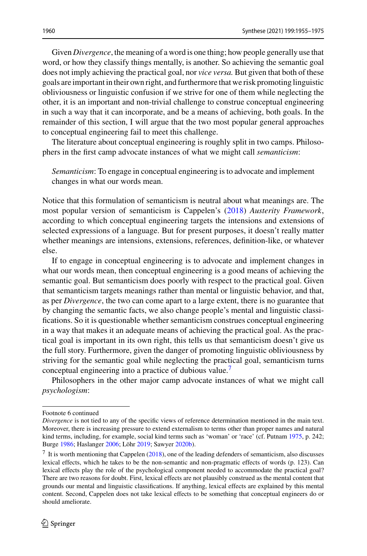Given *Divergence*, the meaning of a word is one thing; how people generally use that word, or how they classify things mentally, is another. So achieving the semantic goal does not imply achieving the practical goal, nor *vice versa.* But given that both of these goals are important in their own right, and furthermore that we risk promoting linguistic obliviousness or linguistic confusion if we strive for one of them while neglecting the other, it is an important and non-trivial challenge to construe conceptual engineering in such a way that it can incorporate, and be a means of achieving, both goals. In the remainder of this section, I will argue that the two most popular general approaches to conceptual engineering fail to meet this challenge.

The literature about conceptual engineering is roughly split in two camps. Philosophers in the first camp advocate instances of what we might call *semanticism*:

*Semanticism*: To engage in conceptual engineering is to advocate and implement changes in what our words mean.

Notice that this formulation of semanticism is neutral about what meanings are. The most popular version of semanticism is Cappelen's [\(2018\)](#page-18-0) *Austerity Framework*, according to which conceptual engineering targets the intensions and extensions of selected expressions of a language. But for present purposes, it doesn't really matter whether meanings are intensions, extensions, references, definition-like, or whatever else.

If to engage in conceptual engineering is to advocate and implement changes in what our words mean, then conceptual engineering is a good means of achieving the semantic goal. But semanticism does poorly with respect to the practical goal. Given that semanticism targets meanings rather than mental or linguistic behavior, and that, as per *Divergence*, the two can come apart to a large extent, there is no guarantee that by changing the semantic facts, we also change people's mental and linguistic classifications. So it is questionable whether semanticism construes conceptual engineering in a way that makes it an adequate means of achieving the practical goal. As the practical goal is important in its own right, this tells us that semanticism doesn't give us the full story. Furthermore, given the danger of promoting linguistic obliviousness by striving for the semantic goal while neglecting the practical goal, semanticism turns conceptual engineering into a practice of dubious value.<sup>7</sup>

Philosophers in the other major camp advocate instances of what we might call *psychologism*:

Footnote 6 continued

*Divergence* is not tied to any of the specific views of reference determination mentioned in the main text. Moreover, there is increasing pressure to extend externalism to terms other than proper names and natural kind terms, including, for example, social kind terms such as 'woman' or 'race' (cf. Putnam [1975,](#page-19-14) p. 242; Burge [1986;](#page-18-6) Haslanger [2006;](#page-19-7) Löhr [2019;](#page-19-16) Sawyer [2020b\)](#page-20-3).

<span id="page-5-0"></span> $7$  It is worth mentioning that Cappelen [\(2018\)](#page-18-0), one of the leading defenders of semanticism, also discusses lexical effects, which he takes to be the non-semantic and non-pragmatic effects of words (p. 123). Can lexical effects play the role of the psychological component needed to accommodate the practical goal? There are two reasons for doubt. First, lexical effects are not plausibly construed as the mental content that grounds our mental and linguistic classifications. If anything, lexical effects are explained by this mental content. Second, Cappelen does not take lexical effects to be something that conceptual engineers do or should ameliorate.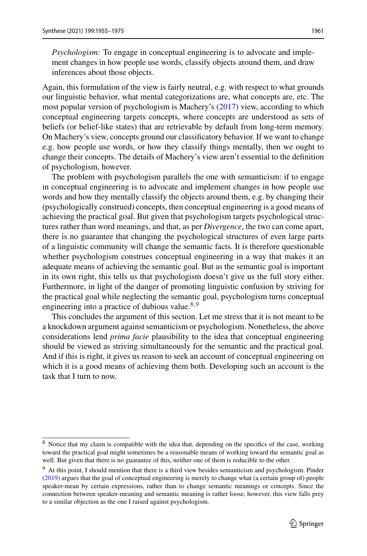*Psychologism:* To engage in conceptual engineering is to advocate and implement changes in how people use words, classify objects around them, and draw inferences about those objects.

Again, this formulation of the view is fairly neutral, e.g. with respect to what grounds our linguistic behavior, what mental categorizations are, what concepts are, etc. The most popular version of psychologism is Machery's [\(2017\)](#page-19-0) view, according to which conceptual engineering targets concepts, where concepts are understood as sets of beliefs (or belief-like states) that are retrievable by default from long-term memory. On Machery's view, concepts ground our classificatory behavior. If we want to change e.g. how people use words, or how they classify things mentally, then we ought to change their concepts. The details of Machery's view aren't essential to the definition of psychologism, however.

The problem with psychologism parallels the one with semanticism: if to engage in conceptual engineering is to advocate and implement changes in how people use words and how they mentally classify the objects around them, e.g. by changing their (psychologically construed) concepts, then conceptual engineering is a good means of achieving the practical goal. But given that psychologism targets psychological structures rather than word meanings, and that, as per *Divergence*, the two can come apart, there is no guarantee that changing the psychological structures of even large parts of a linguistic community will change the semantic facts. It is therefore questionable whether psychologism construes conceptual engineering in a way that makes it an adequate means of achieving the semantic goal. But as the semantic goal is important in its own right, this tells us that psychologism doesn't give us the full story either. Furthermore, in light of the danger of promoting linguistic confusion by striving for the practical goal while neglecting the semantic goal, psychologism turns conceptual engineering into a practice of dubious value. $8,9$  $8,9$ 

This concludes the argument of this section. Let me stress that it is not meant to be a knockdown argument against semanticism or psychologism. Nonetheless, the above considerations lend *prima facie* plausibility to the idea that conceptual engineering should be viewed as striving simultaneously for the semantic and the practical goal. And if this is right, it gives us reason to seek an account of conceptual engineering on which it is a good means of achieving them both. Developing such an account is the task that I turn to now.

<span id="page-6-0"></span><sup>8</sup> Notice that my claim is compatible with the idea that, depending on the specifics of the case, working toward the practical goal might sometimes be a reasonable means of working toward the semantic goal as well. But given that there is no guarantee of this, neither one of them is reducible to the other.

<span id="page-6-1"></span><sup>&</sup>lt;sup>9</sup> At this point, I should mention that there is a third view besides semanticism and psychologism. Pinder [\(2019\)](#page-19-17) argues that the goal of conceptual engineering is merely to change what (a certain group of) people speaker-mean by certain expressions, rather than to change semantic meanings or concepts. Since the connection between speaker-meaning and semantic meaning is rather loose, however, this view falls prey to a similar objection as the one I raised against psychologism.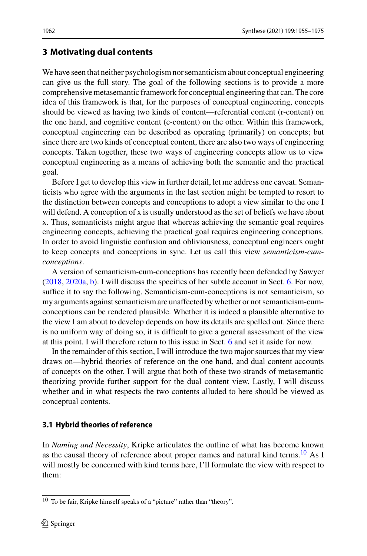#### <span id="page-7-0"></span>**3 Motivating dual contents**

We have seen that neither psychologism nor semanticism about conceptual engineering can give us the full story. The goal of the following sections is to provide a more comprehensive metasemantic framework for conceptual engineering that can. The core idea of this framework is that, for the purposes of conceptual engineering, concepts should be viewed as having two kinds of content—referential content (r-content) on the one hand, and cognitive content (c-content) on the other. Within this framework, conceptual engineering can be described as operating (primarily) on concepts; but since there are two kinds of conceptual content, there are also two ways of engineering concepts. Taken together, these two ways of engineering concepts allow us to view conceptual engineering as a means of achieving both the semantic and the practical goal.

Before I get to develop this view in further detail, let me address one caveat. Semanticists who agree with the arguments in the last section might be tempted to resort to the distinction between concepts and conceptions to adopt a view similar to the one I will defend. A conception of x is usually understood as the set of beliefs we have about x. Thus, semanticists might argue that whereas achieving the semantic goal requires engineering concepts, achieving the practical goal requires engineering conceptions. In order to avoid linguistic confusion and obliviousness, conceptual engineers ought to keep concepts and conceptions in sync. Let us call this view *semanticism*-*cumconceptions*.

A version of semanticism-cum-conceptions has recently been defended by Sawyer [\(2018,](#page-19-4) [2020a,](#page-20-2) [b\)](#page-20-3). I will discuss the specifics of her subtle account in Sect. [6.](#page-15-0) For now, suffice it to say the following. Semanticism-cum-conceptions is not semanticism, so my arguments against semanticism are unaffected by whether or not semanticism-cumconceptions can be rendered plausible. Whether it is indeed a plausible alternative to the view I am about to develop depends on how its details are spelled out. Since there is no uniform way of doing so, it is difficult to give a general assessment of the view at this point. I will therefore return to this issue in Sect. [6](#page-15-0) and set it aside for now.

In the remainder of this section, I will introduce the two major sources that my view draws on—hybrid theories of reference on the one hand, and dual content accounts of concepts on the other. I will argue that both of these two strands of metasemantic theorizing provide further support for the dual content view. Lastly, I will discuss whether and in what respects the two contents alluded to here should be viewed as conceptual contents.

#### **3.1 Hybrid theories of reference**

In *Naming and Necessity*, Kripke articulates the outline of what has become known as the causal theory of reference about proper names and natural kind terms.<sup>10</sup> As I will mostly be concerned with kind terms here, I'll formulate the view with respect to them:

<span id="page-7-1"></span><sup>10</sup> To be fair, Kripke himself speaks of a "picture" rather than "theory".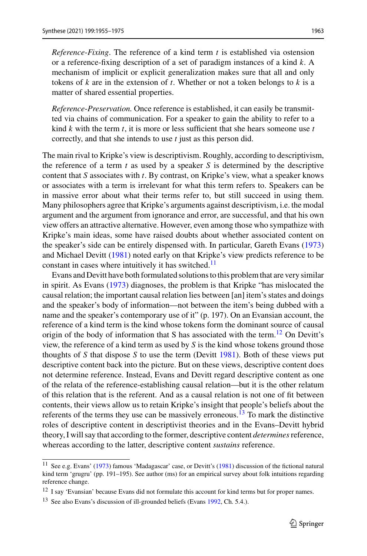*Reference*-*Fixing*. The reference of a kind term *t* is established via ostension or a reference-fixing description of a set of paradigm instances of a kind *k*. A mechanism of implicit or explicit generalization makes sure that all and only tokens of *k* are in the extension of *t*. Whether or not a token belongs to *k* is a matter of shared essential properties.

*Reference*-*Preservation.* Once reference is established, it can easily be transmitted via chains of communication. For a speaker to gain the ability to refer to a kind *k* with the term *t*, it is more or less sufficient that she hears someone use *t* correctly, and that she intends to use *t* just as this person did.

The main rival to Kripke's view is descriptivism. Roughly, according to descriptivism, the reference of a term *t* as used by a speaker *S* is determined by the descriptive content that *S* associates with *t*. By contrast, on Kripke's view, what a speaker knows or associates with a term is irrelevant for what this term refers to. Speakers can be in massive error about what their terms refer to, but still succeed in using them. Many philosophers agree that Kripke's arguments against descriptivism, i.e. the modal argument and the argument from ignorance and error, are successful, and that his own view offers an attractive alternative. However, even among those who sympathize with Kripke's main ideas, some have raised doubts about whether associated content on the speaker's side can be entirely dispensed with. In particular, Gareth Evans [\(1973\)](#page-19-6) and Michael Devitt [\(1981\)](#page-18-3) noted early on that Kripke's view predicts reference to be constant in cases where intuitively it has switched.<sup>11</sup>

Evans and Devitt have both formulated solutions to this problem that are very similar in spirit. As Evans [\(1973\)](#page-19-6) diagnoses, the problem is that Kripke "has mislocated the causal relation; the important causal relation lies between [an] item's states and doings and the speaker's body of information—not between the item's being dubbed with a name and the speaker's contemporary use of it" (p. 197). On an Evansian account, the reference of a kind term is the kind whose tokens form the dominant source of causal origin of the body of information that S has associated with the term.<sup>12</sup> On Devitt's view, the reference of a kind term as used by *S* is the kind whose tokens ground those thoughts of *S* that dispose *S* to use the term (Devitt [1981\)](#page-18-3). Both of these views put descriptive content back into the picture. But on these views, descriptive content does not determine reference. Instead, Evans and Devitt regard descriptive content as one of the relata of the reference-establishing causal relation—but it is the other relatum of this relation that is the referent. And as a causal relation is not one of fit between contents, their views allow us to retain Kripke's insight that people's beliefs about the referents of the terms they use can be massively erroneous.<sup>13</sup> To mark the distinctive roles of descriptive content in descriptivist theories and in the Evans–Devitt hybrid theory, I will say that according to the former, descriptive content *determines*reference, whereas according to the latter, descriptive content *sustains* reference.

<span id="page-8-0"></span><sup>11</sup> See e.g. Evans' [\(1973\)](#page-19-6) famous 'Madagascar' case, or Devitt's [\(1981\)](#page-18-3) discussion of the fictional natural kind term 'grugru' (pp. 191–195). See author (ms) for an empirical survey about folk intuitions regarding reference change.

<span id="page-8-2"></span><span id="page-8-1"></span><sup>&</sup>lt;sup>12</sup> I say 'Evansian' because Evans did not formulate this account for kind terms but for proper names.

<sup>&</sup>lt;sup>13</sup> See also Evans's discussion of ill-grounded beliefs (Evans [1992,](#page-19-18) Ch. 5.4.).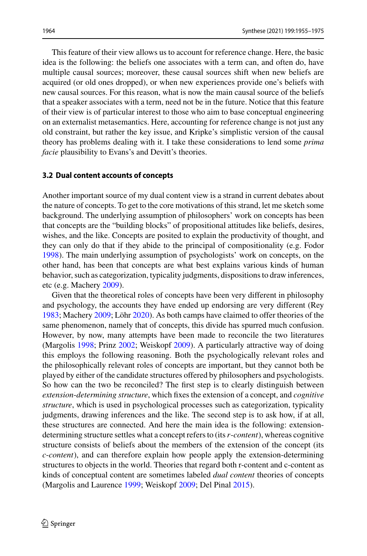This feature of their view allows us to account for reference change. Here, the basic idea is the following: the beliefs one associates with a term can, and often do, have multiple causal sources; moreover, these causal sources shift when new beliefs are acquired (or old ones dropped), or when new experiences provide one's beliefs with new causal sources. For this reason, what is now the main causal source of the beliefs that a speaker associates with a term, need not be in the future. Notice that this feature of their view is of particular interest to those who aim to base conceptual engineering on an externalist metasemantics. Here, accounting for reference change is not just any old constraint, but rather the key issue, and Kripke's simplistic version of the causal theory has problems dealing with it. I take these considerations to lend some *prima facie* plausibility to Evans's and Devitt's theories.

#### **3.2 Dual content accounts of concepts**

Another important source of my dual content view is a strand in current debates about the nature of concepts. To get to the core motivations of this strand, let me sketch some background. The underlying assumption of philosophers' work on concepts has been that concepts are the "building blocks" of propositional attitudes like beliefs, desires, wishes, and the like. Concepts are posited to explain the productivity of thought, and they can only do that if they abide to the principal of compositionality (e.g. Fodor [1998\)](#page-19-19). The main underlying assumption of psychologists' work on concepts, on the other hand, has been that concepts are what best explains various kinds of human behavior, such as categorization, typicality judgments, dispositions to draw inferences, etc (e.g. Machery [2009\)](#page-19-20).

Given that the theoretical roles of concepts have been very different in philosophy and psychology, the accounts they have ended up endorsing are very different (Rey [1983;](#page-19-21) Machery [2009;](#page-19-20) Löhr [2020\)](#page-19-22). As both camps have claimed to offer theories of the same phenomenon, namely that of concepts, this divide has spurred much confusion. However, by now, many attempts have been made to reconcile the two literatures (Margolis [1998;](#page-19-23) Prinz [2002;](#page-19-24) Weiskopf [2009\)](#page-20-4). A particularly attractive way of doing this employs the following reasoning. Both the psychologically relevant roles and the philosophically relevant roles of concepts are important, but they cannot both be played by either of the candidate structures offered by philosophers and psychologists. So how can the two be reconciled? The first step is to clearly distinguish between *extension*-*determining structure*, which fixes the extension of a concept, and *cognitive structure*, which is used in psychological processes such as categorization, typicality judgments, drawing inferences and the like. The second step is to ask how, if at all, these structures are connected. And here the main idea is the following: extensiondetermining structure settles what a concept refers to (its*r*-*content*), whereas cognitive structure consists of beliefs about the members of the extension of the concept (its *c*-*content*), and can therefore explain how people apply the extension-determining structures to objects in the world. Theories that regard both r-content and c-content as kinds of conceptual content are sometimes labeled *dual content* theories of concepts (Margolis and Laurence [1999;](#page-19-5) Weiskopf [2009;](#page-20-4) Del Pinal [2015\)](#page-18-2).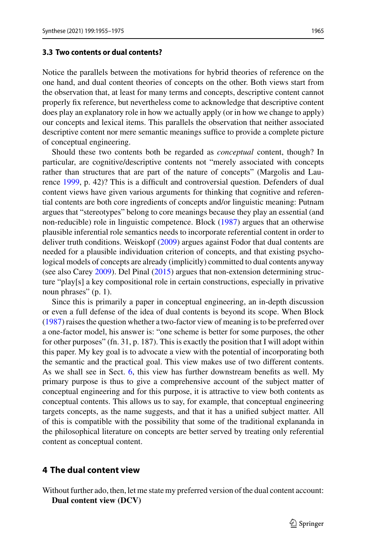#### **3.3 Two contents or dual contents?**

Notice the parallels between the motivations for hybrid theories of reference on the one hand, and dual content theories of concepts on the other. Both views start from the observation that, at least for many terms and concepts, descriptive content cannot properly fix reference, but nevertheless come to acknowledge that descriptive content does play an explanatory role in how we actually apply (or in how we change to apply) our concepts and lexical items. This parallels the observation that neither associated descriptive content nor mere semantic meanings suffice to provide a complete picture of conceptual engineering.

Should these two contents both be regarded as *conceptual* content, though? In particular, are cognitive/descriptive contents not "merely associated with concepts rather than structures that are part of the nature of concepts" (Margolis and Laurence [1999,](#page-19-5) p. 42)? This is a difficult and controversial question. Defenders of dual content views have given various arguments for thinking that cognitive and referential contents are both core ingredients of concepts and/or linguistic meaning: Putnam argues that "stereotypes" belong to core meanings because they play an essential (and non-reducible) role in linguistic competence. Block [\(1987\)](#page-18-7) argues that an otherwise plausible inferential role semantics needs to incorporate referential content in order to deliver truth conditions. Weiskopf [\(2009\)](#page-20-4) argues against Fodor that dual contents are needed for a plausible individuation criterion of concepts, and that existing psychological models of concepts are already (implicitly) committed to dual contents anyway (see also Carey [2009\)](#page-18-1). Del Pinal [\(2015\)](#page-18-2) argues that non-extension determining structure "play[s] a key compositional role in certain constructions, especially in privative noun phrases" (p. 1).

Since this is primarily a paper in conceptual engineering, an in-depth discussion or even a full defense of the idea of dual contents is beyond its scope. When Block [\(1987\)](#page-18-7) raises the question whether a two-factor view of meaning is to be preferred over a one-factor model, his answer is: "one scheme is better for some purposes, the other for other purposes" (fn. 31, p. 187). This is exactly the position that I will adopt within this paper. My key goal is to advocate a view with the potential of incorporating both the semantic and the practical goal. This view makes use of two different contents. As we shall see in Sect. [6,](#page-15-0) this view has further downstream benefits as well. My primary purpose is thus to give a comprehensive account of the subject matter of conceptual engineering and for this purpose, it is attractive to view both contents as conceptual contents. This allows us to say, for example, that conceptual engineering targets concepts, as the name suggests, and that it has a unified subject matter. All of this is compatible with the possibility that some of the traditional explananda in the philosophical literature on concepts are better served by treating only referential content as conceptual content.

#### <span id="page-10-0"></span>**4 The dual content view**

Without further ado, then, let me state my preferred version of the dual content account: **Dual content view (DCV)**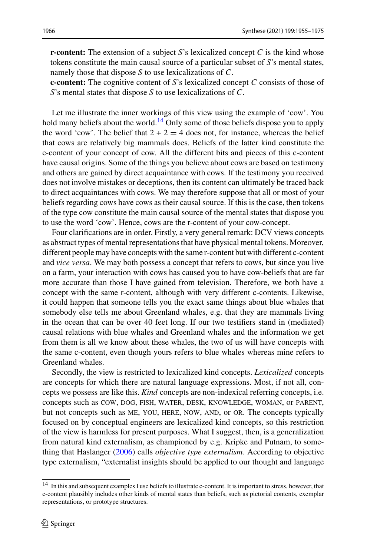**r-content:** The extension of a subject *S*'s lexicalized concept *C* is the kind whose tokens constitute the main causal source of a particular subset of *S*'s mental states, namely those that dispose *S* to use lexicalizations of *C*.

**c-content:** The cognitive content of *S*'s lexicalized concept *C* consists of those of *S*'s mental states that dispose *S* to use lexicalizations of *C*.

Let me illustrate the inner workings of this view using the example of 'cow'. You hold many beliefs about the world.<sup>[14](#page-11-0)</sup> Only some of those beliefs dispose you to apply the word 'cow'. The belief that  $2 + 2 = 4$  does not, for instance, whereas the belief that cows are relatively big mammals does. Beliefs of the latter kind constitute the c-content of your concept of cow. All the different bits and pieces of this c-content have causal origins. Some of the things you believe about cows are based on testimony and others are gained by direct acquaintance with cows. If the testimony you received does not involve mistakes or deceptions, then its content can ultimately be traced back to direct acquaintances with cows. We may therefore suppose that all or most of your beliefs regarding cows have cows as their causal source. If this is the case, then tokens of the type cow constitute the main causal source of the mental states that dispose you to use the word 'cow'. Hence, cows are the r-content of your cow-concept.

Four clarifications are in order. Firstly, a very general remark: DCV views concepts as abstract types of mental representations that have physical mental tokens. Moreover, different people may have concepts with the same r-content but with different c-content and *vice versa*. We may both possess a concept that refers to cows, but since you live on a farm, your interaction with cows has caused you to have cow-beliefs that are far more accurate than those I have gained from television. Therefore, we both have a concept with the same r-content, although with very different c-contents. Likewise, it could happen that someone tells you the exact same things about blue whales that somebody else tells me about Greenland whales, e.g. that they are mammals living in the ocean that can be over 40 feet long. If our two testifiers stand in (mediated) causal relations with blue whales and Greenland whales and the information we get from them is all we know about these whales, the two of us will have concepts with the same c-content, even though yours refers to blue whales whereas mine refers to Greenland whales.

Secondly, the view is restricted to lexicalized kind concepts. *Lexicalized* concepts are concepts for which there are natural language expressions. Most, if not all, concepts we possess are like this. *Kind* concepts are non-indexical referring concepts, i.e. concepts such as cow, dog, fish, water, desk, knowledge, woman, or parent, but not concepts such as me, you, here, now, and, or or. The concepts typically focused on by conceptual engineers are lexicalized kind concepts, so this restriction of the view is harmless for present purposes. What I suggest, then, is a generalization from natural kind externalism, as championed by e.g. Kripke and Putnam, to something that Haslanger [\(2006\)](#page-19-7) calls *objective type externalism*. According to objective type externalism, "externalist insights should be applied to our thought and language

<span id="page-11-0"></span><sup>14</sup> In this and subsequent examples I use beliefs to illustrate c-content. It is important to stress, however, that c-content plausibly includes other kinds of mental states than beliefs, such as pictorial contents, exemplar representations, or prototype structures.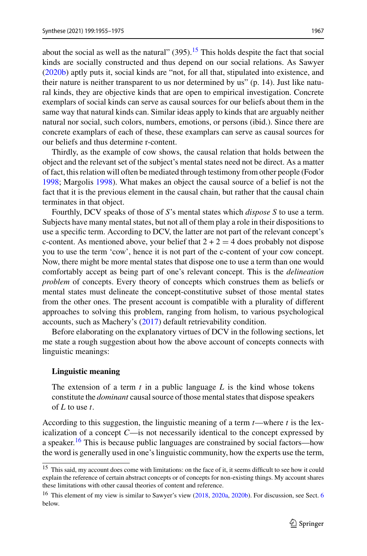about the social as well as the natural"  $(395)$ .<sup>15</sup> This holds despite the fact that social kinds are socially constructed and thus depend on our social relations. As Sawyer [\(2020b\)](#page-20-3) aptly puts it, social kinds are "not, for all that, stipulated into existence, and their nature is neither transparent to us nor determined by us" (p. 14). Just like natural kinds, they are objective kinds that are open to empirical investigation. Concrete exemplars of social kinds can serve as causal sources for our beliefs about them in the same way that natural kinds can. Similar ideas apply to kinds that are arguably neither natural nor social, such colors, numbers, emotions, or persons (ibid.). Since there are concrete examplars of each of these, these examplars can serve as causal sources for our beliefs and thus determine r-content.

Thirdly, as the example of cow shows, the causal relation that holds between the object and the relevant set of the subject's mental states need not be direct. As a matter of fact, this relation will often be mediated through testimony from other people (Fodor [1998;](#page-19-19) Margolis [1998\)](#page-19-23). What makes an object the causal source of a belief is not the fact that it is the previous element in the causal chain, but rather that the causal chain terminates in that object.

Fourthly, DCV speaks of those of *S*'s mental states which *dispose S* to use a term. Subjects have many mental states, but not all of them play a role in their dispositions to use a specific term. According to DCV, the latter are not part of the relevant concept's c-content. As mentioned above, your belief that  $2 + 2 = 4$  does probably not dispose you to use the term 'cow', hence it is not part of the c-content of your cow concept. Now, there might be more mental states that dispose one to use a term than one would comfortably accept as being part of one's relevant concept. This is the *delineation problem* of concepts. Every theory of concepts which construes them as beliefs or mental states must delineate the concept-constitutive subset of those mental states from the other ones. The present account is compatible with a plurality of different approaches to solving this problem, ranging from holism, to various psychological accounts, such as Machery's [\(2017\)](#page-19-0) default retrievability condition.

Before elaborating on the explanatory virtues of DCV in the following sections, let me state a rough suggestion about how the above account of concepts connects with linguistic meanings:

#### **Linguistic meaning**

The extension of a term *t* in a public language *L* is the kind whose tokens constitute the *dominant* causal source of those mental states that dispose speakers of *L* to use *t*.

According to this suggestion, the linguistic meaning of a term  $t$ —where  $t$  is the lexicalization of a concept *C*—is not necessarily identical to the concept expressed by a speaker.<sup>[16](#page-12-1)</sup> This is because public languages are constrained by social factors—how the word is generally used in one's linguistic community, how the experts use the term,

<span id="page-12-0"></span><sup>&</sup>lt;sup>15</sup> This said, my account does come with limitations: on the face of it, it seems difficult to see how it could explain the reference of certain abstract concepts or of concepts for non-existing things. My account shares these limitations with other causal theories of content and reference.

<span id="page-12-1"></span><sup>&</sup>lt;sup>16</sup> This element of my view is similar to Sawyer's view [\(2018,](#page-19-4) [2020a,](#page-20-2) [2020b\)](#page-20-3). For discussion, see Sect. [6](#page-15-0) below.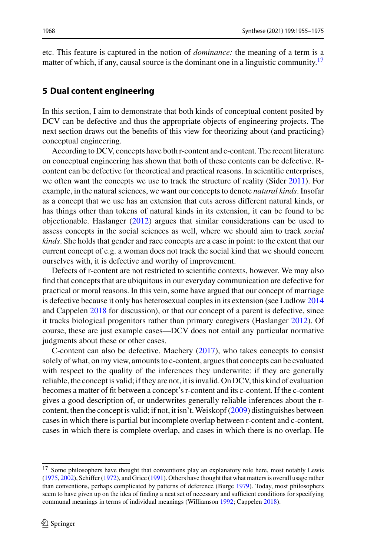etc. This feature is captured in the notion of *dominance:* the meaning of a term is a matter of which, if any, causal source is the dominant one in a linguistic community.<sup>17</sup>

### <span id="page-13-0"></span>**5 Dual content engineering**

In this section, I aim to demonstrate that both kinds of conceptual content posited by DCV can be defective and thus the appropriate objects of engineering projects. The next section draws out the benefits of this view for theorizing about (and practicing) conceptual engineering.

According to DCV, concepts have both r-content and c-content. The recent literature on conceptual engineering has shown that both of these contents can be defective. Rcontent can be defective for theoretical and practical reasons. In scientific enterprises, we often want the concepts we use to track the structure of reality (Sider [2011\)](#page-20-6). For example, in the natural sciences, we want our concepts to denote *natural kinds*. Insofar as a concept that we use has an extension that cuts across different natural kinds, or has things other than tokens of natural kinds in its extension, it can be found to be objectionable. Haslanger [\(2012\)](#page-19-25) argues that similar considerations can be used to assess concepts in the social sciences as well, where we should aim to track *social kinds*. She holds that gender and race concepts are a case in point: to the extent that our current concept of e.g. a woman does not track the social kind that we should concern ourselves with, it is defective and worthy of improvement.

Defects of r-content are not restricted to scientific contexts, however. We may also find that concepts that are ubiquitous in our everyday communication are defective for practical or moral reasons. In this vein, some have argued that our concept of marriage is defective because it only has heterosexual couples in its extension (see Ludlow [2014](#page-19-26) and Cappelen [2018](#page-18-0) for discussion), or that our concept of a parent is defective, since it tracks biological progenitors rather than primary caregivers (Haslanger [2012\)](#page-19-25). Of course, these are just example cases—DCV does not entail any particular normative judgments about these or other cases.

C-content can also be defective. Machery [\(2017\)](#page-19-0), who takes concepts to consist solely of what, on my view, amounts to c-content, argues that concepts can be evaluated with respect to the quality of the inferences they underwrite: if they are generally reliable, the concept is valid; if they are not, it is invalid. On DCV, this kind of evaluation becomes a matter of fit between a concept's r-content and its c-content. If the c-content gives a good description of, or underwrites generally reliable inferences about the r-content, then the concept is valid; if not, it isn't. Weiskopf [\(2009\)](#page-20-4) distinguishes between cases in which there is partial but incomplete overlap between r-content and c-content, cases in which there is complete overlap, and cases in which there is no overlap. He

<span id="page-13-1"></span><sup>&</sup>lt;sup>17</sup> Some philosophers have thought that conventions play an explanatory role here, most notably Lewis [\(1975,](#page-19-27) [2002\)](#page-19-28), Schiffer [\(1972\)](#page-20-7), and Grice [\(1991\)](#page-19-29). Others have thought that what matters is overall usage rather than conventions, perhaps complicated by patterns of deference (Burge [1979\)](#page-18-5). Today, most philosophers seem to have given up on the idea of finding a neat set of necessary and sufficient conditions for specifying communal meanings in terms of individual meanings (Williamson [1992;](#page-20-8) Cappelen [2018\)](#page-18-0).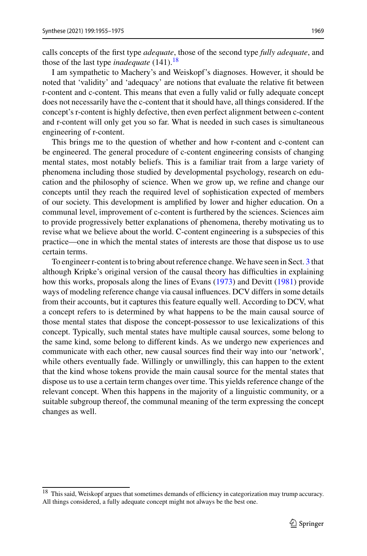calls concepts of the first type *adequate*, those of the second type *fully adequate*, and those of the last type *inadequate* (141).<sup>[18](#page-14-0)</sup>

I am sympathetic to Machery's and Weiskopf's diagnoses. However, it should be noted that 'validity' and 'adequacy' are notions that evaluate the relative fit between r-content and c-content. This means that even a fully valid or fully adequate concept does not necessarily have the c-content that it should have, all things considered. If the concept's r-content is highly defective, then even perfect alignment between c-content and r-content will only get you so far. What is needed in such cases is simultaneous engineering of r-content.

This brings me to the question of whether and how r-content and c-content can be engineered. The general procedure of c-content engineering consists of changing mental states, most notably beliefs. This is a familiar trait from a large variety of phenomena including those studied by developmental psychology, research on education and the philosophy of science. When we grow up, we refine and change our concepts until they reach the required level of sophistication expected of members of our society. This development is amplified by lower and higher education. On a communal level, improvement of c-content is furthered by the sciences. Sciences aim to provide progressively better explanations of phenomena, thereby motivating us to revise what we believe about the world. C-content engineering is a subspecies of this practice—one in which the mental states of interests are those that dispose us to use certain terms.

To engineer r-content is to bring about reference change. We have seen in Sect. [3](#page-7-0) that although Kripke's original version of the causal theory has difficulties in explaining how this works, proposals along the lines of Evans [\(1973\)](#page-19-6) and Devitt [\(1981\)](#page-18-3) provide ways of modeling reference change via causal influences. DCV differs in some details from their accounts, but it captures this feature equally well. According to DCV, what a concept refers to is determined by what happens to be the main causal source of those mental states that dispose the concept-possessor to use lexicalizations of this concept. Typically, such mental states have multiple causal sources, some belong to the same kind, some belong to different kinds. As we undergo new experiences and communicate with each other, new causal sources find their way into our 'network', while others eventually fade. Willingly or unwillingly, this can happen to the extent that the kind whose tokens provide the main causal source for the mental states that dispose us to use a certain term changes over time. This yields reference change of the relevant concept. When this happens in the majority of a linguistic community, or a suitable subgroup thereof, the communal meaning of the term expressing the concept changes as well.

<span id="page-14-0"></span><sup>&</sup>lt;sup>18</sup> This said, Weiskopf argues that sometimes demands of efficiency in categorization may trump accuracy. All things considered, a fully adequate concept might not always be the best one.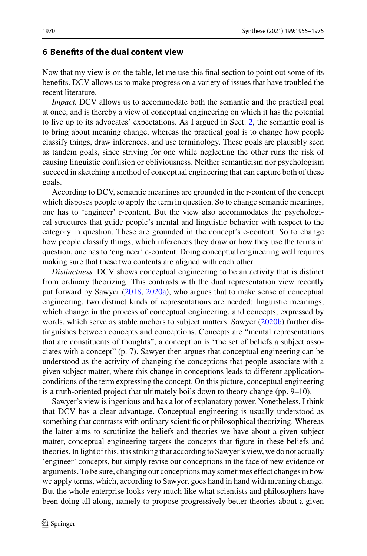# <span id="page-15-0"></span>**6 Benefits of the dual content view**

Now that my view is on the table, let me use this final section to point out some of its benefits. DCV allows us to make progress on a variety of issues that have troubled the recent literature.

*Impact.* DCV allows us to accommodate both the semantic and the practical goal at once, and is thereby a view of conceptual engineering on which it has the potential to live up to its advocates' expectations. As I argued in Sect. [2,](#page-2-0) the semantic goal is to bring about meaning change, whereas the practical goal is to change how people classify things, draw inferences, and use terminology. These goals are plausibly seen as tandem goals, since striving for one while neglecting the other runs the risk of causing linguistic confusion or obliviousness. Neither semanticism nor psychologism succeed in sketching a method of conceptual engineering that can capture both of these goals.

According to DCV, semantic meanings are grounded in the r-content of the concept which disposes people to apply the term in question. So to change semantic meanings, one has to 'engineer' r-content. But the view also accommodates the psychological structures that guide people's mental and linguistic behavior with respect to the category in question. These are grounded in the concept's c-content. So to change how people classify things, which inferences they draw or how they use the terms in question, one has to 'engineer' c-content. Doing conceptual engineering well requires making sure that these two contents are aligned with each other.

*Distinctness.* DCV shows conceptual engineering to be an activity that is distinct from ordinary theorizing. This contrasts with the dual representation view recently put forward by Sawyer [\(2018,](#page-19-4) [2020a\)](#page-20-2), who argues that to make sense of conceptual engineering, two distinct kinds of representations are needed: linguistic meanings, which change in the process of conceptual engineering, and concepts, expressed by words, which serve as stable anchors to subject matters. Sawyer [\(2020b\)](#page-20-3) further distinguishes between concepts and conceptions. Concepts are "mental representations that are constituents of thoughts"; a conception is "the set of beliefs a subject associates with a concept" (p. 7). Sawyer then argues that conceptual engineering can be understood as the activity of changing the conceptions that people associate with a given subject matter, where this change in conceptions leads to different applicationconditions of the term expressing the concept. On this picture, conceptual engineering is a truth-oriented project that ultimately boils down to theory change (pp. 9–10).

Sawyer's view is ingenious and has a lot of explanatory power. Nonetheless, I think that DCV has a clear advantage. Conceptual engineering is usually understood as something that contrasts with ordinary scientific or philosophical theorizing. Whereas the latter aims to scrutinize the beliefs and theories we have about a given subject matter, conceptual engineering targets the concepts that figure in these beliefs and theories. In light of this, it is striking that according to Sawyer's view, we do not actually 'engineer' concepts, but simply revise our conceptions in the face of new evidence or arguments. To be sure, changing our conceptions may sometimes effect changes in how we apply terms, which, according to Sawyer, goes hand in hand with meaning change. But the whole enterprise looks very much like what scientists and philosophers have been doing all along, namely to propose progressively better theories about a given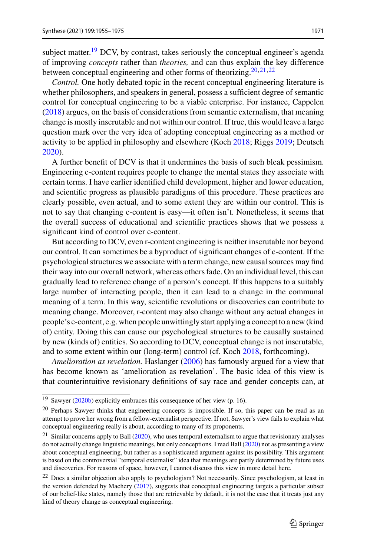subject matter.<sup>[19](#page-16-0)</sup> DCV, by contrast, takes seriously the conceptual engineer's agenda of improving *concepts* rather than *theories,* and can thus explain the key difference between conceptual engineering and other forms of theorizing.<sup>20[,21,](#page-16-2)[22](#page-16-3)</sup>

*Control.* One hotly debated topic in the recent conceptual engineering literature is whether philosophers, and speakers in general, possess a sufficient degree of semantic control for conceptual engineering to be a viable enterprise. For instance, Cappelen [\(2018\)](#page-18-0) argues, on the basis of considerations from semantic externalism, that meaning change is mostly inscrutable and not within our control. If true, this would leave a large question mark over the very idea of adopting conceptual engineering as a method or activity to be applied in philosophy and elsewhere (Koch [2018;](#page-19-30) Riggs [2019;](#page-19-31) Deutsch [2020\)](#page-18-8).

A further benefit of DCV is that it undermines the basis of such bleak pessimism. Engineering c-content requires people to change the mental states they associate with certain terms. I have earlier identified child development, higher and lower education, and scientific progress as plausible paradigms of this procedure. These practices are clearly possible, even actual, and to some extent they are within our control. This is not to say that changing c-content is easy—it often isn't. Nonetheless, it seems that the overall success of educational and scientific practices shows that we possess a significant kind of control over c-content.

But according to DCV, even r-content engineering is neither inscrutable nor beyond our control. It can sometimes be a byproduct of significant changes of c-content. If the psychological structures we associate with a term change, new causal sources may find their way into our overall network, whereas others fade. On an individual level, this can gradually lead to reference change of a person's concept. If this happens to a suitably large number of interacting people, then it can lead to a change in the communal meaning of a term. In this way, scientific revolutions or discoveries can contribute to meaning change. Moreover, r-content may also change without any actual changes in people's c-content, e.g. when people unwittingly start applying a concept to a new (kind of) entity. Doing this can cause our psychological structures to be causally sustained by new (kinds of) entities. So according to DCV, conceptual change is not inscrutable, and to some extent within our (long-term) control (cf. Koch [2018,](#page-19-30) forthcoming).

*Amelioration as revelation.* Haslanger [\(2006\)](#page-19-7) has famously argued for a view that has become known as 'amelioration as revelation'. The basic idea of this view is that counterintuitive revisionary definitions of say race and gender concepts can, at

<span id="page-16-1"></span><span id="page-16-0"></span><sup>19</sup> Sawyer [\(2020b\)](#page-20-3) explicitly embraces this consequence of her view (p. 16).

<sup>20</sup> Perhaps Sawyer thinks that engineering concepts is impossible. If so, this paper can be read as an attempt to prove her wrong from a fellow-externalist perspective. If not, Sawyer's view fails to explain what conceptual engineering really is about, according to many of its proponents.

<span id="page-16-2"></span> $21$  Similar concerns apply to Ball [\(2020\)](#page-18-9), who uses temporal externalism to argue that revisionary analyses do not actually change linguistic meanings, but only conceptions. I read Ball [\(2020\)](#page-18-9) not as presenting a view about conceptual engineering, but rather as a sophisticated argument against its possibility. This argument is based on the controversial "temporal externalist" idea that meanings are partly determined by future uses and discoveries. For reasons of space, however, I cannot discuss this view in more detail here.

<span id="page-16-3"></span><sup>22</sup> Does a similar objection also apply to psychologism? Not necessarily. Since psychologism, at least in the version defended by Machery [\(2017\)](#page-19-0), suggests that conceptual engineering targets a particular subset of our belief-like states, namely those that are retrievable by default, it is not the case that it treats just any kind of theory change as conceptual engineering.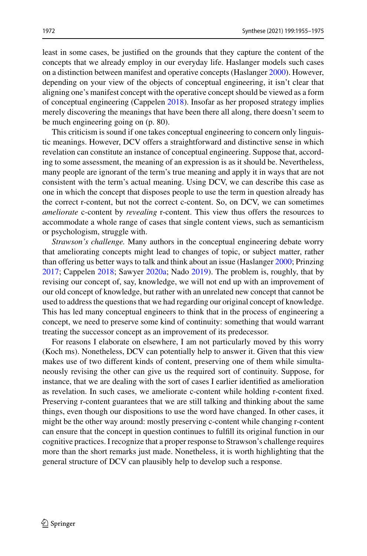least in some cases, be justified on the grounds that they capture the content of the concepts that we already employ in our everyday life. Haslanger models such cases on a distinction between manifest and operative concepts (Haslanger [2000\)](#page-19-2). However, depending on your view of the objects of conceptual engineering, it isn't clear that aligning one's manifest concept with the operative concept should be viewed as a form of conceptual engineering (Cappelen [2018\)](#page-18-0). Insofar as her proposed strategy implies merely discovering the meanings that have been there all along, there doesn't seem to be much engineering going on (p. 80).

This criticism is sound if one takes conceptual engineering to concern only linguistic meanings. However, DCV offers a straightforward and distinctive sense in which revelation can constitute an instance of conceptual engineering. Suppose that, according to some assessment, the meaning of an expression is as it should be. Nevertheless, many people are ignorant of the term's true meaning and apply it in ways that are not consistent with the term's actual meaning. Using DCV, we can describe this case as one in which the concept that disposes people to use the term in question already has the correct r-content, but not the correct c-content. So, on DCV, we can sometimes *ameliorate* c-content by *revealing* r-content. This view thus offers the resources to accommodate a whole range of cases that single content views, such as semanticism or psychologism, struggle with.

*Strawson's challenge.* Many authors in the conceptual engineering debate worry that ameliorating concepts might lead to changes of topic, or subject matter, rather than offering us better ways to talk and think about an issue (Haslanger [2000;](#page-19-2) Prinzing [2017;](#page-19-8) Cappelen [2018;](#page-18-0) Sawyer [2020a;](#page-20-2) Nado [2019\)](#page-19-9). The problem is, roughly, that by revising our concept of, say, knowledge, we will not end up with an improvement of our old concept of knowledge, but rather with an unrelated new concept that cannot be used to address the questions that we had regarding our original concept of knowledge. This has led many conceptual engineers to think that in the process of engineering a concept, we need to preserve some kind of continuity: something that would warrant treating the successor concept as an improvement of its predecessor.

For reasons I elaborate on elsewhere, I am not particularly moved by this worry (Koch ms). Nonetheless, DCV can potentially help to answer it. Given that this view makes use of two different kinds of content, preserving one of them while simultaneously revising the other can give us the required sort of continuity. Suppose, for instance, that we are dealing with the sort of cases I earlier identified as amelioration as revelation. In such cases, we ameliorate c-content while holding r-content fixed. Preserving r-content guarantees that we are still talking and thinking about the same things, even though our dispositions to use the word have changed. In other cases, it might be the other way around: mostly preserving c-content while changing r-content can ensure that the concept in question continues to fulfill its original function in our cognitive practices. I recognize that a proper response to Strawson's challenge requires more than the short remarks just made. Nonetheless, it is worth highlighting that the general structure of DCV can plausibly help to develop such a response.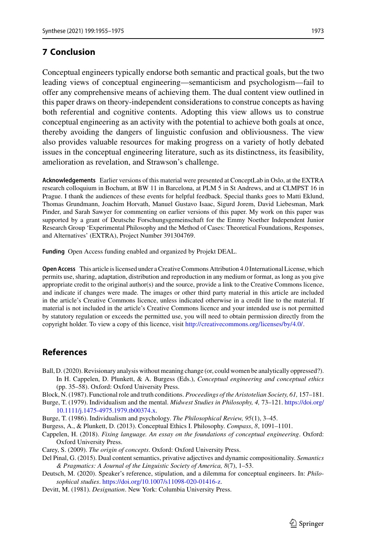# **7 Conclusion**

Conceptual engineers typically endorse both semantic and practical goals, but the two leading views of conceptual engineering—semanticism and psychologism—fail to offer any comprehensive means of achieving them. The dual content view outlined in this paper draws on theory-independent considerations to construe concepts as having both referential and cognitive contents. Adopting this view allows us to construe conceptual engineering as an activity with the potential to achieve both goals at once, thereby avoiding the dangers of linguistic confusion and obliviousness. The view also provides valuable resources for making progress on a variety of hotly debated issues in the conceptual engineering literature, such as its distinctness, its feasibility, amelioration as revelation, and Strawson's challenge.

**Acknowledgements** Earlier versions of this material were presented at ConceptLab in Oslo, at the EXTRA research colloquium in Bochum, at BW 11 in Barcelona, at PLM 5 in St Andrews, and at CLMPST 16 in Prague. I thank the audiences of these events for helpful feedback. Special thanks goes to Matti Eklund, Thomas Grundmann, Joachim Horvath, Manuel Gustavo Isaac, Sigurd Jorem, David Liebesman, Mark Pinder, and Sarah Sawyer for commenting on earlier versions of this paper. My work on this paper was supported by a grant of Deutsche Forschungsgemeinschaft for the Emmy Noether Independent Junior Research Group 'Experimental Philosophy and the Method of Cases: Theoretical Foundations, Responses, and Alternatives' (EXTRA), Project Number 391304769.

**Funding** Open Access funding enabled and organized by Projekt DEAL.

**Open Access** This article is licensed under a Creative Commons Attribution 4.0 International License, which permits use, sharing, adaptation, distribution and reproduction in any medium or format, as long as you give appropriate credit to the original author(s) and the source, provide a link to the Creative Commons licence, and indicate if changes were made. The images or other third party material in this article are included in the article's Creative Commons licence, unless indicated otherwise in a credit line to the material. If material is not included in the article's Creative Commons licence and your intended use is not permitted by statutory regulation or exceeds the permitted use, you will need to obtain permission directly from the copyright holder. To view a copy of this licence, visit [http://creativecommons.org/licenses/by/4.0/.](http://creativecommons.org/licenses/by/4.0/)

# **References**

- <span id="page-18-9"></span>Ball, D. (2020). Revisionary analysis without meaning change (or, could women be analytically oppressed?). In H. Cappelen, D. Plunkett, & A. Burgess (Eds.), *Conceptual engineering and conceptual ethics* (pp. 35–58). Oxford: Oxford University Press.
- <span id="page-18-7"></span>Block, N. (1987). Functional role and truth conditions. *Proceedings of the Aristotelian Society, 61,* 157–181.
- <span id="page-18-5"></span>Bur[ge, T. \(1979\). Individualism and the mental.](https://doi.org/10.1111/j.1475-4975.1979.tb00374.x) *Midwest Studies in Philosophy, 4,* 73–121. https://doi.org/ 10.1111/j.1475-4975.1979.tb00374.x.
- <span id="page-18-6"></span>Burge, T. (1986). Individualism and psychology. *The Philosophical Review, 95*(1), 3–45.
- <span id="page-18-4"></span>Burgess, A., & Plunkett, D. (2013). Conceptual Ethics I. Philosophy. *Compass*, *8*, 1091–1101.
- <span id="page-18-0"></span>Cappelen, H. (2018). *Fixing language. An essay on the foundations of conceptual engineering*. Oxford: Oxford University Press.
- <span id="page-18-1"></span>Carey, S. (2009). *The origin of concepts*. Oxford: Oxford University Press.
- <span id="page-18-2"></span>Del Pinal, G. (2015). Dual content semantics, privative adjectives and dynamic compositionality. *Semantics & Pragmatics: A Journal of the Linguistic Society of America, 8*(7), 1–53.
- <span id="page-18-8"></span>Deutsch, M. (2020). Speaker's reference, stipulation, and a dilemma for conceptual engineers. In: *Philosophical studies*. [https://doi.org/10.1007/s11098-020-01416-z.](https://doi.org/10.1007/s11098-020-01416-z)
- <span id="page-18-3"></span>Devitt, M. (1981). *Designation*. New York: Columbia University Press.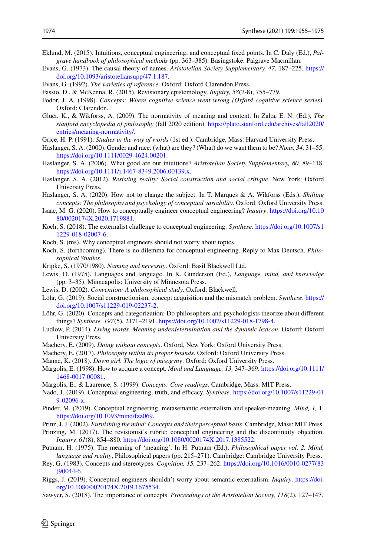- <span id="page-19-11"></span>Eklund, M. (2015). Intuitions, conceptual engineering, and conceptual fixed points. In C. Daly (Ed.), *Palgrave handbook of philosophical methods* (pp. 363–385). Basingstoke: Palgrave Macmillan.
- <span id="page-19-6"></span>Evans, G. (1973). The causal theory of names. *Aristotelian Society Supplementary, 47,* 187–225. https:// [doi.org/10.1093/aristoteliansupp/47.1.187.](https://doi.org/10.1093/aristoteliansupp/47.1.187)
- <span id="page-19-18"></span>Evans, G. (1992). *The varieties of reference*. Oxford: Oxford Clarendon Press.
- <span id="page-19-3"></span>Fassio, D., & McKenna, R. (2015). Revisionary epistemology. *Inquiry, 58*(7-8), 755–779.
- <span id="page-19-19"></span>Fodor, J. A. (1998). *Concepts: Where cognitive science went wrong (Oxford cognitive science series)*. Oxford: Clarendon.
- <span id="page-19-15"></span>Glüer, K., & Wikforss, A. (2009). The normativity of meaning and content. In Zalta, E. N. (Ed.), *The stanford encyclopedia of philosophy* (fall 2020 edition). [https://plato.stanford.edu/archives/fall2020/](https://plato.stanford.edu/archives/fall2020/entries/meaning-normativity/) entries/meaning-normativity/.
- <span id="page-19-29"></span>Grice, H. P. (1991). *Studies in the way of words* (1st ed.). Cambridge, Mass: Harvard University Press.
- <span id="page-19-2"></span>Haslanger, S. A. (2000). Gender and race: (what) are they? (What) do we want them to be? *Nous, 34,* 31–55. [https://doi.org/10.1111/0029-4624.00201.](https://doi.org/10.1111/0029-4624.00201)
- <span id="page-19-7"></span>Haslanger, S. A. (2006). What good are our intuitions? *Aristotelian Society Supplementary, 80,* 89–118. [https://doi.org/10.1111/j.1467-8349.2006.00139.x.](https://doi.org/10.1111/j.1467-8349.2006.00139.x)
- <span id="page-19-25"></span>Haslanger, S. A. (2012). *Resisting reality: Social construction and social critique*. New York: Oxford University Press.
- <span id="page-19-10"></span>Haslanger, S. A. (2020). How not to change the subject. In T. Marques & A. Wikforss (Eds.), *Shifting concepts: The philosophy and psychology of conceptual variability*. Oxford: Oxford University Press.
- <span id="page-19-1"></span>Isaa[c, M. G. \(2020\). How to conceptually engineer conceptual engineering?](https://doi.org/10.1080/0020174X.2020.1719881) *Inquiry*. https://doi.org/10.10 80/0020174X.2020.1719881.
- <span id="page-19-30"></span>Koc[h, S. \(2018\). The externalist challenge to conceptual engineering.](https://doi.org/10.1007/s11229-018-02007-6) *Synthese*. https://doi.org/10.1007/s1 1229-018-02007-6.
- Koch, S. (ms). Why conceptual engineers should not worry about topics.
- Koch, S. (forthcoming). There is no dilemma for conceptual engineering. Reply to Max Deutsch. *Philosophical Studies*.
- <span id="page-19-13"></span>Kripke, S. (1970/1980). *Naming and necessity*. Oxford: Basil Blackwell Ltd.
- <span id="page-19-27"></span>Lewis, D. (1975). Languages and language. In K. Gunderson (Ed.), *Language, mind, and knowledge* (pp. 3–35). Minneapolis: University of Minnesota Press.
- <span id="page-19-28"></span>Lewis, D. (2002). *Convention: A philosophical study*. Oxford: Blackwell.
- <span id="page-19-16"></span>Löh[r, G. \(2019\). Social constructionism, concept acquisition and the mismatch problem.](https://doi.org/10.1007/s11229-019-02237-2) *Synthese*. https:// doi.org/10.1007/s11229-019-02237-2.
- <span id="page-19-22"></span>Löhr, G. (2020). Concepts and categorization: Do philosophers and psychologists theorize about different things? *Synthese, 197*(5), 2171–2191. [https://doi.org/10.1007/s11229-018-1798-4.](https://doi.org/10.1007/s11229-018-1798-4)
- <span id="page-19-26"></span>Ludlow, P. (2014). *Living words. Meaning underdetermination and the dynamic lexicon*. Oxford: Oxford University Press.
- <span id="page-19-20"></span>Machery, E. (2009). *Doing without concepts*. Oxford, New York: Oxford University Press.
- <span id="page-19-0"></span>Machery, E. (2017). *Philosophy within its proper bounds*. Oxford: Oxford University Press.
- <span id="page-19-12"></span>Manne, K. (2018). *Down girl. The logic of misogyny*. Oxford: Oxford University Press.
- <span id="page-19-23"></span>Mar[golis, E. \(1998\). How to acquire a concept.](https://doi.org/10.1111/1468-0017.00081) *Mind and Language, 13,* 347–369. https://doi.org/10.1111/ 1468-0017.00081.
- <span id="page-19-5"></span>Margolis, E., & Laurence, S. (1999). *Concepts: Core readings*. Cambridge, Mass: MIT Press.
- <span id="page-19-9"></span>Nad[o, J. \(2019\). Conceptual engineering, truth, and efficacy.](https://doi.org/10.1007/s11229-019-02096-x) *Synthese*. https://doi.org/10.1007/s11229-01 9-02096-x.
- <span id="page-19-17"></span>Pinder, M. (2019). Conceptual engineering, metasemantic externalism and speaker-meaning. *Mind, 1,* 1. [https://doi.org/10.1093/mind/fzz069.](https://doi.org/10.1093/mind/fzz069)
- <span id="page-19-24"></span>Prinz, J. J. (2002). *Furnishing the mind: Concepts and their perceptual basis*. Cambridge, Mass: MIT Press.
- <span id="page-19-8"></span>Prinzing, M. (2017). The revisionist's rubric: conceptual engineering and the discontinuity objection. *Inquiry, 61*(8), 854–880. [https://doi.org/10.1080/0020174X.2017.1385522.](https://doi.org/10.1080/0020174X.2017.1385522)
- <span id="page-19-14"></span>Putnam, H. (1975). The meaning of 'meaning'. In H. Putnam (Ed.), *Philosophical paper vol. 2. Mind, language and reality*, Philosophical papers (pp. 215–271). Cambridge: Cambridge University Press.
- <span id="page-19-21"></span>Rey, G. (1983). Concepts and stereotypes. *Cognition, 15,* 237–262. [https://doi.org/10.1016/0010-0277\(83](https://doi.org/10.1016/0010-0277(83)90044-6) )90044-6.
- <span id="page-19-31"></span>Rig[gs, J. \(2019\). Conceptual engineers shouldn't worry about semantic externalism.](https://doi.org/10.1080/0020174X.2019.1675534) *Inquiry*. https://doi. org/10.1080/0020174X.2019.1675534.
- <span id="page-19-4"></span>Sawyer, S. (2018). The importance of concepts. *Proceedings of the Aristotelian Society, 118*(2), 127–147.